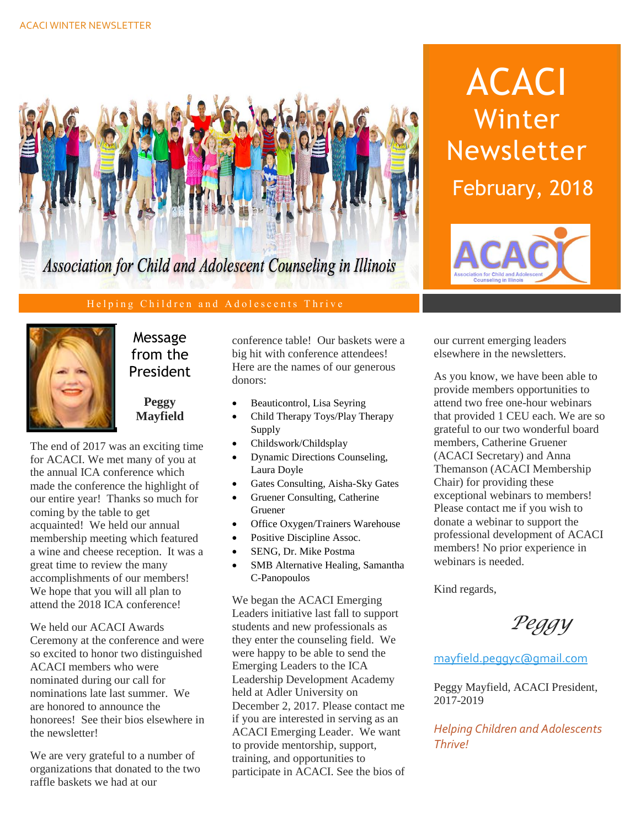

### Helping Children and Adolescents Thrive



### Message from the President

**Peggy Mayfield**

The end of 2017 was an exciting time for ACACI. We met many of you at the annual ICA conference which made the conference the highlight of our entire year! Thanks so much for coming by the table to get acquainted! We held our annual membership meeting which featured a wine and cheese reception. It was a great time to review the many accomplishments of our members! We hope that you will all plan to attend the 2018 ICA conference!

We held our ACACI Awards Ceremony at the conference and were so excited to honor two distinguished ACACI members who were nominated during our call for nominations late last summer. We are honored to announce the honorees! See their bios elsewhere in the newsletter!

We are very grateful to a number of organizations that donated to the two raffle baskets we had at our

conference table! Our baskets were a big hit with conference attendees! Here are the names of our generous donors:

- Beauticontrol, Lisa Seyring
- Child Therapy Toys/Play Therapy Supply
- Childswork/Childsplay
- Dynamic Directions Counseling, Laura Doyle
- Gates Consulting, Aisha-Sky Gates
- Gruener Consulting, Catherine Gruener
- Office Oxygen/Trainers Warehouse
- Positive Discipline Assoc.
- SENG, Dr. Mike Postma
- SMB Alternative Healing, Samantha C-Panopoulos

We began the ACACI Emerging Leaders initiative last fall to support students and new professionals as they enter the counseling field. We were happy to be able to send the Emerging Leaders to the ICA Leadership Development Academy held at Adler University on December 2, 2017. Please contact me if you are interested in serving as an ACACI Emerging Leader. We want to provide mentorship, support, training, and opportunities to participate in ACACI. See the bios of

ACACI Winter Newsletter February, 2018



our current emerging leaders elsewhere in the newsletters.

As you know, we have been able to provide members opportunities to attend two free one-hour webinars that provided 1 CEU each. We are so grateful to our two wonderful board members, Catherine Gruener (ACACI Secretary) and Anna Themanson (ACACI Membership Chair) for providing these exceptional webinars to members! Please contact me if you wish to donate a webinar to support the professional development of ACACI members! No prior experience in webinars is needed.

Kind regards,

*Peggy*

[mayfield.peggyc@gmail.com](mailto:mayfield.peggyc@gmail.com)

Peggy Mayfield, ACACI President, 2017-2019

*Helping Children and Adolescents Thrive!*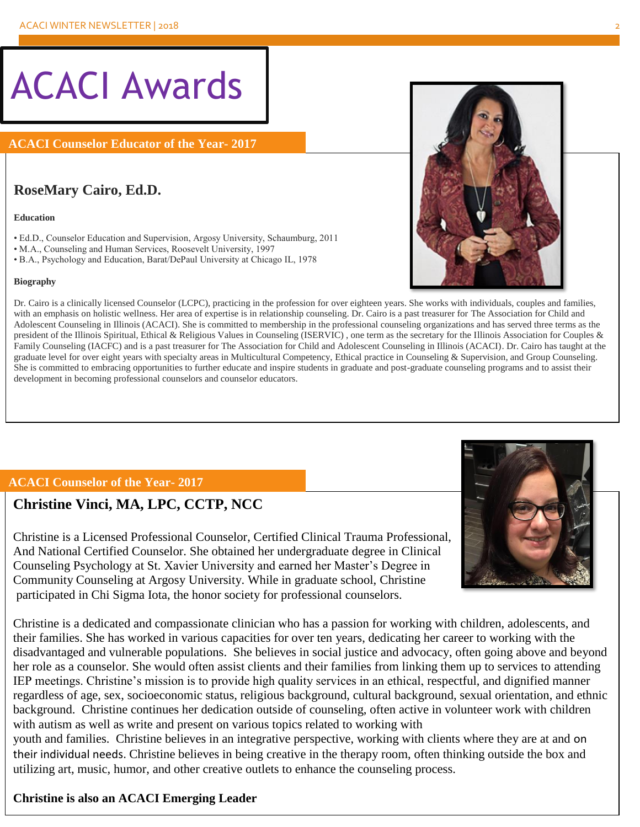# ACACI Awards

**ACACI Counselor Educator of the Year- 2017**

### **RoseMary Cairo, Ed.D.**

#### **Education**

- Ed.D., Counselor Education and Supervision, Argosy University, Schaumburg, 2011
- M.A., Counseling and Human Services, Roosevelt University, 1997
- B.A., Psychology and Education, Barat/DePaul University at Chicago IL, 1978

#### **Biography**

Dr. Cairo is a clinically licensed Counselor (LCPC), practicing in the profession for over eighteen years. She works with individuals, couples and families, with an emphasis on holistic wellness. Her area of expertise is in relationship counseling. Dr. Cairo is a past treasurer for The Association for Child and Adolescent Counseling in Illinois (ACACI). She is committed to membership in the professional counseling organizations and has served three terms as the president of the Illinois Spiritual, Ethical & Religious Values in Counseling (ISERVIC) , one term as the secretary for the Illinois Association for Couples & Family Counseling (IACFC) and is a past treasurer for The Association for Child and Adolescent Counseling in Illinois (ACACI). Dr. Cairo has taught at the graduate level for over eight years with specialty areas in Multicultural Competency, Ethical practice in Counseling & Supervision, and Group Counseling. She is committed to embracing opportunities to further educate and inspire students in graduate and post-graduate counseling programs and to assist their development in becoming professional counselors and counselor educators.

### **ACACI Counselor of the Year- 2017**

### **Christine Vinci, MA, LPC, CCTP, NCC**

Christine is a Licensed Professional Counselor, Certified Clinical Trauma Professional, And National Certified Counselor. She obtained her undergraduate degree in Clinical Counseling Psychology at St. Xavier University and earned her Master's Degree in Community Counseling at Argosy University. While in graduate school, Christine participated in Chi Sigma Iota, the honor society for professional counselors.

Christine is a dedicated and compassionate clinician who has a passion for working with children, adolescents, and their families. She has worked in various capacities for over ten years, dedicating her career to working with the disadvantaged and vulnerable populations. She believes in social justice and advocacy, often going above and beyond her role as a counselor. She would often assist clients and their families from linking them up to services to attending IEP meetings. Christine's mission is to provide high quality services in an ethical, respectful, and dignified manner regardless of age, sex, socioeconomic status, religious background, cultural background, sexual orientation, and ethnic background. Christine continues her dedication outside of counseling, often active in volunteer work with children with autism as well as write and present on various topics related to working with

youth and families. Christine believes in an integrative perspective, working with clients where they are at and on their individual needs. Christine believes in being creative in the therapy room, often thinking outside the box and utilizing art, music, humor, and other creative outlets to enhance the counseling process.

### **Christine is also an ACACI Emerging Leader**



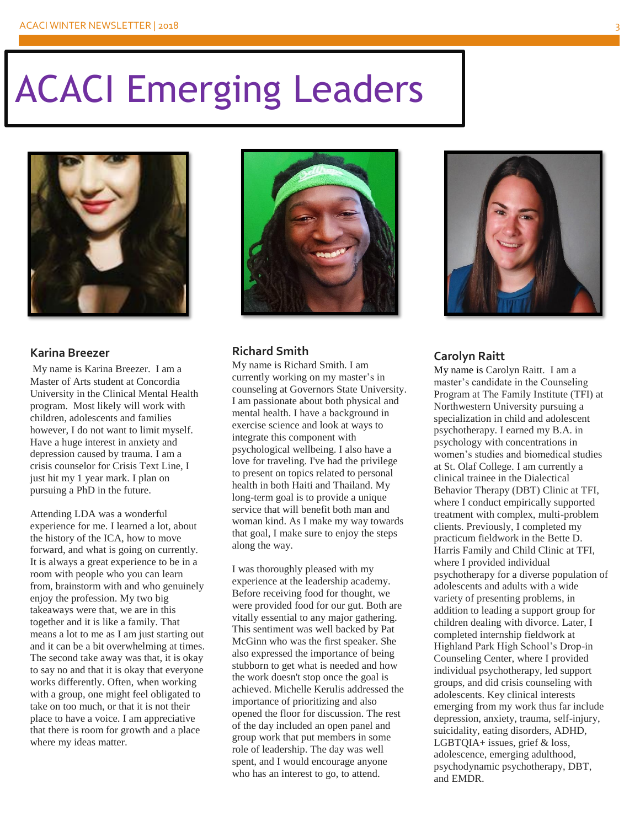# ACACI Emerging Leaders



#### **Karina Breezer**

My name is Karina Breezer. I am a Master of Arts student at Concordia University in the Clinical Mental Health program. Most likely will work with children, adolescents and families however, I do not want to limit myself. Have a huge interest in anxiety and depression caused by trauma. I am a crisis counselor for Crisis Text Line, I just hit my 1 year mark. I plan on pursuing a PhD in the future.

Attending LDA was a wonderful experience for me. I learned a lot, about the history of the ICA, how to move forward, and what is going on currently. It is always a great experience to be in a room with people who you can learn from, brainstorm with and who genuinely enjoy the profession. My two big takeaways were that, we are in this together and it is like a family. That means a lot to me as I am just starting out and it can be a bit overwhelming at times. The second take away was that, it is okay to say no and that it is okay that everyone works differently. Often, when working with a group, one might feel obligated to take on too much, or that it is not their place to have a voice. I am appreciative that there is room for growth and a place where my ideas matter.



### **Richard Smith**

My name is Richard Smith. I am currently working on my master's in counseling at Governors State University. I am passionate about both physical and mental health. I have a background in exercise science and look at ways to integrate this component with psychological wellbeing. I also have a love for traveling. I've had the privilege to present on topics related to personal health in both Haiti and Thailand. My long-term goal is to provide a unique service that will benefit both man and woman kind. As I make my way towards that goal, I make sure to enjoy the steps along the way.

I was thoroughly pleased with my experience at the leadership academy. Before receiving food for thought, we were provided food for our gut. Both are vitally essential to any major gathering. This sentiment was well backed by Pat McGinn who was the first speaker. She also expressed the importance of being stubborn to get what is needed and how the work doesn't stop once the goal is achieved. Michelle Kerulis addressed the importance of prioritizing and also opened the floor for discussion. The rest of the day included an open panel and group work that put members in some role of leadership. The day was well spent, and I would encourage anyone who has an interest to go, to attend.



### **Carolyn Raitt**

My name is Carolyn Raitt. I am a master's candidate in the Counseling Program at The Family Institute (TFI) at Northwestern University pursuing a specialization in child and adolescent psychotherapy. I earned my B.A. in psychology with concentrations in women's studies and biomedical studies at St. Olaf College. I am currently a clinical trainee in the Dialectical Behavior Therapy (DBT) Clinic at TFI, where I conduct empirically supported treatment with complex, multi-problem clients. Previously, I completed my practicum fieldwork in the Bette D. Harris Family and Child Clinic at TFI, where I provided individual psychotherapy for a diverse population of adolescents and adults with a wide variety of presenting problems, in addition to leading a support group for children dealing with divorce. Later, I completed internship fieldwork at Highland Park High School's Drop-in Counseling Center, where I provided individual psychotherapy, led support groups, and did crisis counseling with adolescents. Key clinical interests emerging from my work thus far include depression, anxiety, trauma, self-injury, suicidality, eating disorders, ADHD, LGBTQIA+ issues, grief & loss, adolescence, emerging adulthood, psychodynamic psychotherapy, DBT, and EMDR.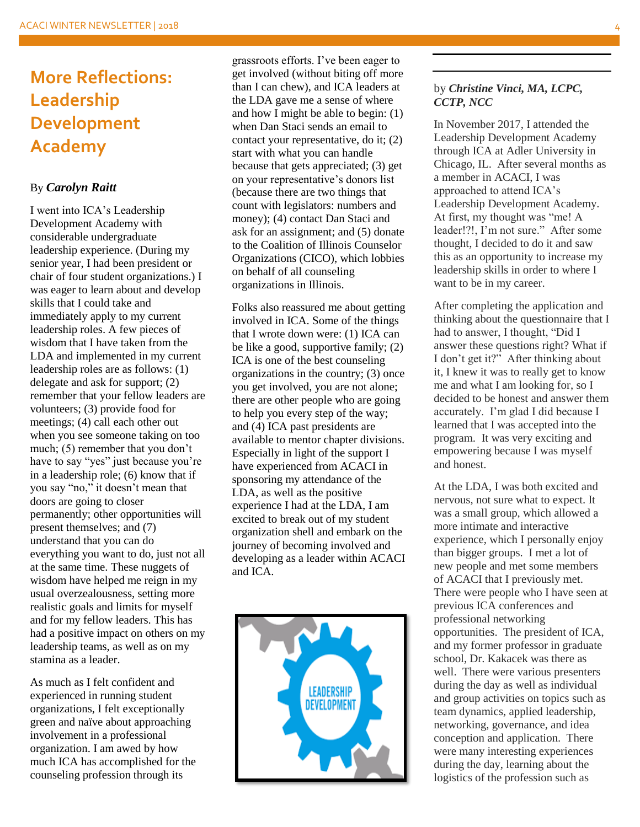# **More Reflections: Leadership Development Academy**

### By *Carolyn Raitt*

I went into ICA's Leadership Development Academy with considerable undergraduate leadership experience. (During my senior year, I had been president or chair of four student organizations.) I was eager to learn about and develop skills that I could take and immediately apply to my current leadership roles. A few pieces of wisdom that I have taken from the LDA and implemented in my current leadership roles are as follows: (1) delegate and ask for support; (2) remember that your fellow leaders are volunteers; (3) provide food for meetings; (4) call each other out when you see someone taking on too much; (5) remember that you don't have to say "yes" just because you're in a leadership role; (6) know that if you say "no," it doesn't mean that doors are going to closer permanently; other opportunities will present themselves; and (7) understand that you can do everything you want to do, just not all at the same time. These nuggets of wisdom have helped me reign in my usual overzealousness, setting more realistic goals and limits for myself and for my fellow leaders. This has had a positive impact on others on my leadership teams, as well as on my stamina as a leader.

As much as I felt confident and experienced in running student organizations, I felt exceptionally green and naïve about approaching involvement in a professional organization. I am awed by how much ICA has accomplished for the counseling profession through its

grassroots efforts. I've been eager to get involved (without biting off more than I can chew), and ICA leaders at the LDA gave me a sense of where and how I might be able to begin: (1) when Dan Staci sends an email to contact your representative, do it; (2) start with what you can handle because that gets appreciated; (3) get on your representative's donors list (because there are two things that count with legislators: numbers and money); (4) contact Dan Staci and ask for an assignment; and (5) donate to the Coalition of Illinois Counselor Organizations (CICO), which lobbies on behalf of all counseling organizations in Illinois.

Folks also reassured me about getting involved in ICA. Some of the things that I wrote down were: (1) ICA can be like a good, supportive family; (2) ICA is one of the best counseling organizations in the country; (3) once you get involved, you are not alone; there are other people who are going to help you every step of the way; and (4) ICA past presidents are available to mentor chapter divisions. Especially in light of the support I have experienced from ACACI in sponsoring my attendance of the LDA, as well as the positive experience I had at the LDA, I am excited to break out of my student organization shell and embark on the journey of becoming involved and developing as a leader within ACACI and ICA.



### by *Christine Vinci, MA, LCPC, CCTP, NCC*

In November 2017, I attended the Leadership Development Academy through ICA at Adler University in Chicago, IL. After several months as a member in ACACI, I was approached to attend ICA's Leadership Development Academy. At first, my thought was "me! A leader!?!, I'm not sure." After some thought, I decided to do it and saw this as an opportunity to increase my leadership skills in order to where I want to be in my career.

After completing the application and thinking about the questionnaire that I had to answer, I thought, "Did I answer these questions right? What if I don't get it?" After thinking about it, I knew it was to really get to know me and what I am looking for, so I decided to be honest and answer them accurately. I'm glad I did because I learned that I was accepted into the program. It was very exciting and empowering because I was myself and honest.

At the LDA, I was both excited and nervous, not sure what to expect. It was a small group, which allowed a more intimate and interactive experience, which I personally enjoy than bigger groups. I met a lot of new people and met some members of ACACI that I previously met. There were people who I have seen at previous ICA conferences and professional networking opportunities. The president of ICA, and my former professor in graduate school, Dr. Kakacek was there as well. There were various presenters during the day as well as individual and group activities on topics such as team dynamics, applied leadership, networking, governance, and idea conception and application. There were many interesting experiences during the day, learning about the logistics of the profession such as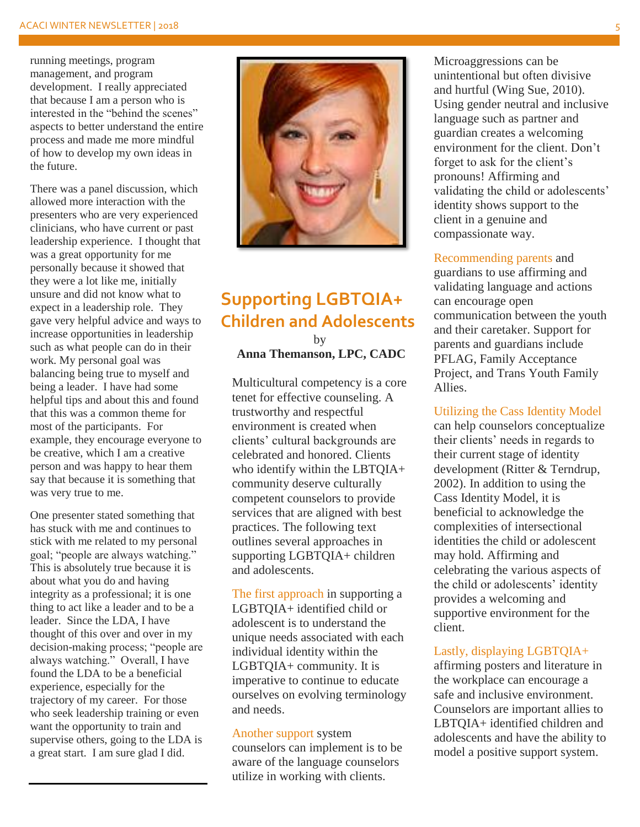running meetings, program management, and program development. I really appreciated that because I am a person who is interested in the "behind the scenes" aspects to better understand the entire process and made me more mindful of how to develop my own ideas in the future.

There was a panel discussion, which allowed more interaction with the presenters who are very experienced clinicians, who have current or past leadership experience. I thought that was a great opportunity for me personally because it showed that they were a lot like me, initially unsure and did not know what to expect in a leadership role. They gave very helpful advice and ways to increase opportunities in leadership such as what people can do in their work. My personal goal was balancing being true to myself and being a leader. I have had some helpful tips and about this and found that this was a common theme for most of the participants. For example, they encourage everyone to be creative, which I am a creative person and was happy to hear them say that because it is something that was very true to me.

One presenter stated something that has stuck with me and continues to stick with me related to my personal goal; "people are always watching." This is absolutely true because it is about what you do and having integrity as a professional; it is one thing to act like a leader and to be a leader. Since the LDA, I have thought of this over and over in my decision-making process; "people are always watching." Overall, I have found the LDA to be a beneficial experience, especially for the trajectory of my career. For those who seek leadership training or even want the opportunity to train and supervise others, going to the LDA is a great start. I am sure glad I did.



# **Supporting LGBTQIA+ Children and Adolescents**

by **Anna Themanson, LPC, CADC**

Multicultural competency is a core tenet for effective counseling. A trustworthy and respectful environment is created when clients' cultural backgrounds are celebrated and honored. Clients who identify within the LBTQIA+ community deserve culturally competent counselors to provide services that are aligned with best practices. The following text outlines several approaches in supporting LGBTQIA+ children and adolescents.

The first approach in supporting a LGBTQIA+ identified child or adolescent is to understand the unique needs associated with each individual identity within the LGBTQIA+ community. It is imperative to continue to educate ourselves on evolving terminology and needs.

#### Another support system

counselors can implement is to be aware of the language counselors utilize in working with clients.

Microaggressions can be unintentional but often divisive and hurtful (Wing Sue, 2010). Using gender neutral and inclusive language such as partner and guardian creates a welcoming environment for the client. Don't forget to ask for the client's pronouns! Affirming and validating the child or adolescents' identity shows support to the client in a genuine and compassionate way.

### Recommending parents and

guardians to use affirming and validating language and actions can encourage open communication between the youth and their caretaker. Support for parents and guardians include PFLAG, Family Acceptance Project, and Trans Youth Family Allies.

### Utilizing the Cass Identity Model

can help counselors conceptualize their clients' needs in regards to their current stage of identity development (Ritter & Terndrup, 2002). In addition to using the Cass Identity Model, it is beneficial to acknowledge the complexities of intersectional identities the child or adolescent may hold. Affirming and celebrating the various aspects of the child or adolescents' identity provides a welcoming and supportive environment for the client.

#### Lastly, displaying LGBTQIA+

affirming posters and literature in the workplace can encourage a safe and inclusive environment. Counselors are important allies to LBTQIA+ identified children and adolescents and have the ability to model a positive support system.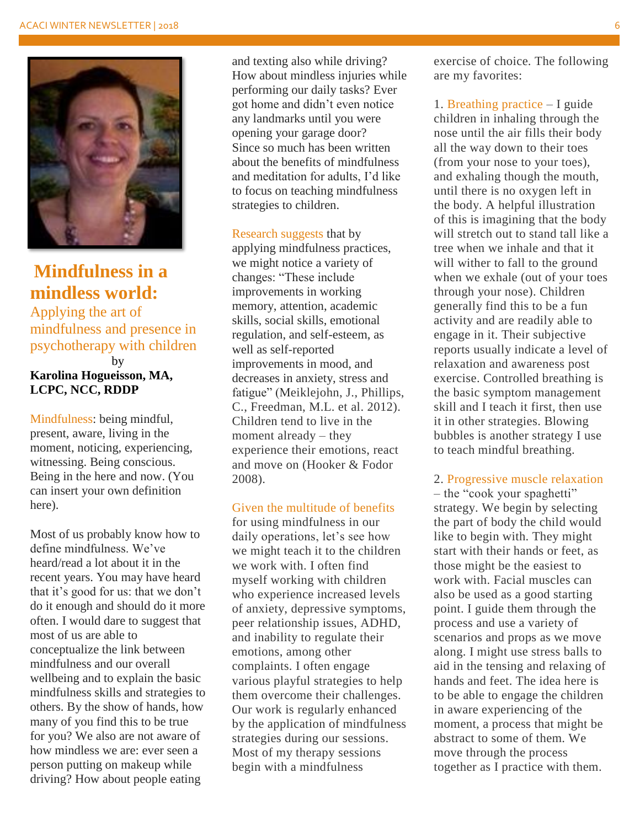

# **Mindfulness in a mindless world:**

Applying the art of mindfulness and presence in psychotherapy with children by

### **Karolina Hogueisson, MA, LCPC, NCC, RDDP**

Mindfulness: being mindful, present, aware, living in the moment, noticing, experiencing, witnessing. Being conscious. Being in the here and now. (You can insert your own definition here).

Most of us probably know how to define mindfulness. We've heard/read a lot about it in the recent years. You may have heard that it's good for us: that we don't do it enough and should do it more often. I would dare to suggest that most of us are able to conceptualize the link between mindfulness and our overall wellbeing and to explain the basic mindfulness skills and strategies to others. By the show of hands, how many of you find this to be true for you? We also are not aware of how mindless we are: ever seen a person putting on makeup while driving? How about people eating

and texting also while driving? How about mindless injuries while performing our daily tasks? Ever got home and didn't even notice any landmarks until you were opening your garage door? Since so much has been written about the benefits of mindfulness and meditation for adults, I'd like to focus on teaching mindfulness strategies to children.

Research suggests that by applying mindfulness practices, we might notice a variety of changes: "These include improvements in working memory, attention, academic skills, social skills, emotional regulation, and self-esteem, as well as self-reported improvements in mood, and decreases in anxiety, stress and fatigue" (Meiklejohn, J., Phillips, C., Freedman, M.L. et al. 2012). Children tend to live in the moment already – they experience their emotions, react and move on (Hooker & Fodor 2008).

### Given the multitude of benefits

for using mindfulness in our daily operations, let's see how we might teach it to the children we work with. I often find myself working with children who experience increased levels of anxiety, depressive symptoms, peer relationship issues, ADHD, and inability to regulate their emotions, among other complaints. I often engage various playful strategies to help them overcome their challenges. Our work is regularly enhanced by the application of mindfulness strategies during our sessions. Most of my therapy sessions begin with a mindfulness

exercise of choice. The following are my favorites:

1. Breathing practice – I guide children in inhaling through the nose until the air fills their body all the way down to their toes (from your nose to your toes), and exhaling though the mouth, until there is no oxygen left in the body. A helpful illustration of this is imagining that the body will stretch out to stand tall like a tree when we inhale and that it will wither to fall to the ground when we exhale (out of your toes through your nose). Children generally find this to be a fun activity and are readily able to engage in it. Their subjective reports usually indicate a level of relaxation and awareness post exercise. Controlled breathing is the basic symptom management skill and I teach it first, then use it in other strategies. Blowing bubbles is another strategy I use to teach mindful breathing.

### 2. Progressive muscle relaxation

– the "cook your spaghetti" strategy. We begin by selecting the part of body the child would like to begin with. They might start with their hands or feet, as those might be the easiest to work with. Facial muscles can also be used as a good starting point. I guide them through the process and use a variety of scenarios and props as we move along. I might use stress balls to aid in the tensing and relaxing of hands and feet. The idea here is to be able to engage the children in aware experiencing of the moment, a process that might be abstract to some of them. We move through the process together as I practice with them.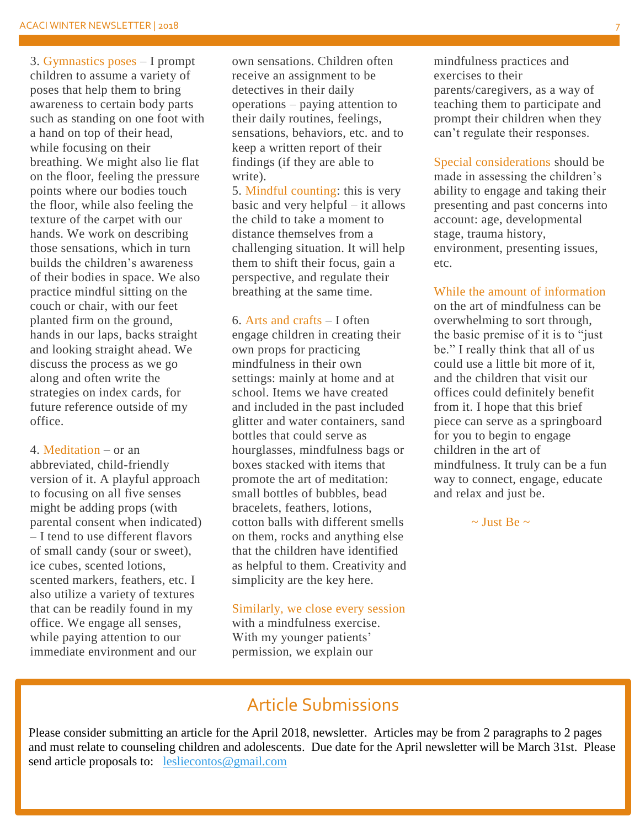3. Gymnastics poses – I prompt children to assume a variety of poses that help them to bring awareness to certain body parts such as standing on one foot with a hand on top of their head, while focusing on their breathing. We might also lie flat on the floor, feeling the pressure points where our bodies touch the floor, while also feeling the texture of the carpet with our hands. We work on describing those sensations, which in turn builds the children's awareness of their bodies in space. We also practice mindful sitting on the couch or chair, with our feet planted firm on the ground, hands in our laps, backs straight and looking straight ahead. We discuss the process as we go along and often write the strategies on index cards, for future reference outside of my office.

4. Meditation – or an abbreviated, child-friendly version of it. A playful approach to focusing on all five senses might be adding props (with parental consent when indicated) – I tend to use different flavors of small candy (sour or sweet), ice cubes, scented lotions, scented markers, feathers, etc. I also utilize a variety of textures that can be readily found in my office. We engage all senses, while paying attention to our immediate environment and our

own sensations. Children often receive an assignment to be detectives in their daily operations – paying attention to their daily routines, feelings, sensations, behaviors, etc. and to keep a written report of their findings (if they are able to write).

5. Mindful counting: this is very basic and very helpful – it allows the child to take a moment to distance themselves from a challenging situation. It will help them to shift their focus, gain a perspective, and regulate their breathing at the same time.

6. Arts and crafts – I often engage children in creating their own props for practicing mindfulness in their own settings: mainly at home and at school. Items we have created and included in the past included glitter and water containers, sand bottles that could serve as hourglasses, mindfulness bags or boxes stacked with items that promote the art of meditation: small bottles of bubbles, bead bracelets, feathers, lotions, cotton balls with different smells on them, rocks and anything else that the children have identified as helpful to them. Creativity and simplicity are the key here.

#### Similarly, we close every session with a mindfulness exercise.

With my younger patients' permission, we explain our mindfulness practices and exercises to their parents/caregivers, as a way of teaching them to participate and prompt their children when they can't regulate their responses.

Special considerations should be made in assessing the children's ability to engage and taking their presenting and past concerns into account: age, developmental stage, trauma history, environment, presenting issues, etc.

### While the amount of information

on the art of mindfulness can be overwhelming to sort through, the basic premise of it is to "just be." I really think that all of us could use a little bit more of it, and the children that visit our offices could definitely benefit from it. I hope that this brief piece can serve as a springboard for you to begin to engage children in the art of mindfulness. It truly can be a fun way to connect, engage, educate and relax and just be.

 $\sim$  Just Be  $\sim$ 

## Article Submissions

Please consider submitting an article for the April 2018, newsletter. Articles may be from 2 paragraphs to 2 pages and must relate to counseling children and adolescents. Due date for the April newsletter will be March 31st. Please send article proposals to: [lesliecontos@gmail.com](mailto:lesliecontos@gmail.com)